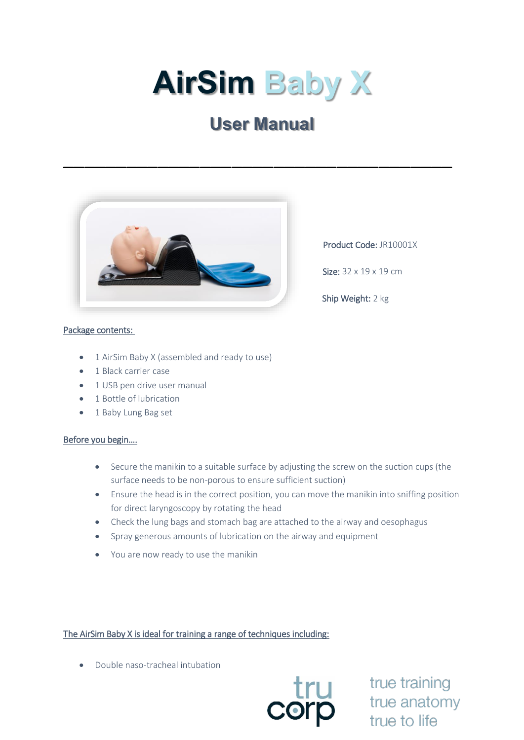# **AirSim Baby X**

# **User Manual**

\_\_\_\_\_\_\_\_\_\_\_\_\_\_\_\_\_\_\_\_\_\_\_\_\_\_\_\_\_\_\_\_\_\_\_\_\_



Product Code: JR10001X

Size: 32 x 19 x 19 cm

Ship Weight: 2 kg

# Package contents:

- 1 AirSim Baby X (assembled and ready to use)
- 1 Black carrier case
- 1 USB pen drive user manual
- 1 Bottle of lubrication
- 1 Baby Lung Bag set

### Before you begin….

- Secure the manikin to a suitable surface by adjusting the screw on the suction cups (the surface needs to be non-porous to ensure sufficient suction)
- Ensure the head is in the correct position, you can move the manikin into sniffing position for direct laryngoscopy by rotating the head
- Check the lung bags and stomach bag are attached to the airway and oesophagus
- Spray generous amounts of lubrication on the airway and equipment
- You are now ready to use the manikin

# The AirSim Baby X is ideal for training a range of techniques including:

• Double naso-tracheal intubation



true training true anatomy true to life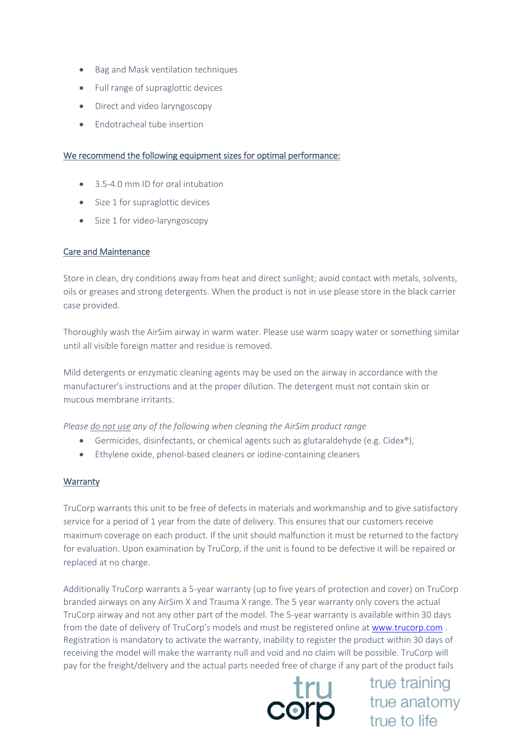- Bag and Mask ventilation techniques
- Full range of supraglottic devices
- Direct and video laryngoscopy
- Endotracheal tube insertion

### We recommend the following equipment sizes for optimal performance:

- 3.5-4.0 mm ID for oral intubation
- Size 1 for supraglottic devices
- Size 1 for video-laryngoscopy

## Care and Maintenance

Store in clean, dry conditions away from heat and direct sunlight; avoid contact with metals, solvents, oils or greases and strong detergents. When the product is not in use please store in the black carrier case provided.

Thoroughly wash the AirSim airway in warm water. Please use warm soapy water or something similar until all visible foreign matter and residue is removed.

Mild detergents or enzymatic cleaning agents may be used on the airway in accordance with the manufacturer's instructions and at the proper dilution. The detergent must not contain skin or mucous membrane irritants.

*Please do not use any of the following when cleaning the AirSim product range*

- Germicides, disinfectants, or chemical agents such as glutaraldehyde (e.g. Cidex®),
- Ethylene oxide, phenol-based cleaners or iodine-containing cleaners

### **Warranty**

TruCorp warrants this unit to be free of defects in materials and workmanship and to give satisfactory service for a period of 1 year from the date of delivery. This ensures that our customers receive maximum coverage on each product. If the unit should malfunction it must be returned to the factory for evaluation. Upon examination by TruCorp, if the unit is found to be defective it will be repaired or replaced at no charge.

Additionally TruCorp warrants a 5-year warranty (up to five years of protection and cover) on TruCorp branded airways on any AirSim X and Trauma X range. The 5 year warranty only covers the actual TruCorp airway and not any other part of the model. The 5-year warranty is available within 30 days from the date of delivery of TruCorp's models and must be registered online at [www.trucorp.com](http://www.trucorp.com/) . Registration is mandatory to activate the warranty, inability to register the product within 30 days of receiving the model will make the warranty null and void and no claim will be possible. TruCorp will



pay for the freight/delivery and the actual parts needed free of charge if any part of the product fails<br> **EDEREE ACTION**<br>
THE COMPUTE ACTION<br>
THE COMPUTE ACTION